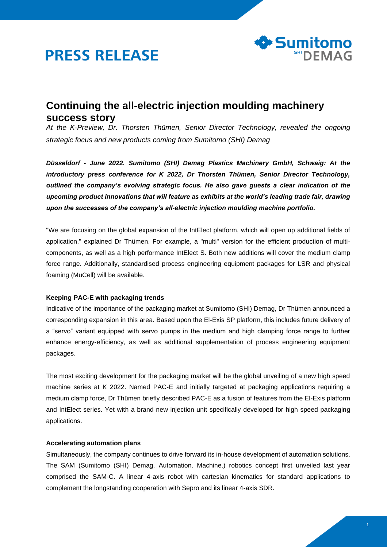



# **Continuing the all-electric injection moulding machinery success story**

*At the K-Preview, Dr. Thorsten Thümen, Senior Director Technology, revealed the ongoing strategic focus and new products coming from Sumitomo (SHI) Demag*

*Düsseldorf - June 2022. Sumitomo (SHI) Demag Plastics Machinery GmbH, Schwaig: At the introductory press conference for K 2022, Dr Thorsten Thümen, Senior Director Technology, outlined the company's evolving strategic focus. He also gave guests a clear indication of the upcoming product innovations that will feature as exhibits at the world's leading trade fair, drawing upon the successes of the company's all-electric injection moulding machine portfolio.*

"We are focusing on the global expansion of the IntElect platform, which will open up additional fields of application," explained Dr Thümen. For example, a "multi" version for the efficient production of multicomponents, as well as a high performance IntElect S. Both new additions will cover the medium clamp force range. Additionally, standardised process engineering equipment packages for LSR and physical foaming (MuCell) will be available.

## **Keeping PAC-E with packaging trends**

Indicative of the importance of the packaging market at Sumitomo (SHI) Demag, Dr Thümen announced a corresponding expansion in this area. Based upon the El-Exis SP platform, this includes future delivery of a "servo" variant equipped with servo pumps in the medium and high clamping force range to further enhance energy-efficiency, as well as additional supplementation of process engineering equipment packages.

The most exciting development for the packaging market will be the global unveiling of a new high speed machine series at K 2022. Named PAC-E and initially targeted at packaging applications requiring a medium clamp force, Dr Thümen briefly described PAC-E as a fusion of features from the El-Exis platform and IntElect series. Yet with a brand new injection unit specifically developed for high speed packaging applications.

### **Accelerating automation plans**

Simultaneously, the company continues to drive forward its in-house development of automation solutions. The SAM (Sumitomo (SHI) Demag. Automation. Machine.) robotics concept first unveiled last year comprised the SAM-C. A linear 4-axis robot with cartesian kinematics for standard applications to complement the longstanding cooperation with Sepro and its linear 4-axis SDR.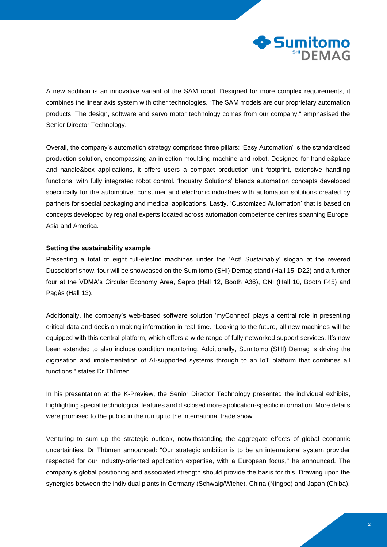

A new addition is an innovative variant of the SAM robot. Designed for more complex requirements, it combines the linear axis system with other technologies. "The SAM models are our proprietary automation products. The design, software and servo motor technology comes from our company," emphasised the Senior Director Technology.

Overall, the company's automation strategy comprises three pillars: 'Easy Automation' is the standardised production solution, encompassing an injection moulding machine and robot. Designed for handle&place and handle&box applications, it offers users a compact production unit footprint, extensive handling functions, with fully integrated robot control. 'Industry Solutions' blends automation concepts developed specifically for the automotive, consumer and electronic industries with automation solutions created by partners for special packaging and medical applications. Lastly, 'Customized Automation' that is based on concepts developed by regional experts located across automation competence centres spanning Europe, Asia and America.

#### **Setting the sustainability example**

Presenting a total of eight full-electric machines under the 'Act! Sustainably' slogan at the revered Dusseldorf show, four will be showcased on the Sumitomo (SHI) Demag stand (Hall 15, D22) and a further four at the VDMA's Circular Economy Area, Sepro (Hall 12, Booth A36), ONI (Hall 10, Booth F45) and Pagès (Hall 13).

Additionally, the company's web-based software solution 'myConnect' plays a central role in presenting critical data and decision making information in real time. "Looking to the future, all new machines will be equipped with this central platform, which offers a wide range of fully networked support services. It's now been extended to also include condition monitoring. Additionally, Sumitomo (SHI) Demag is driving the digitisation and implementation of AI-supported systems through to an IoT platform that combines all functions," states Dr Thümen.

In his presentation at the K-Preview, the Senior Director Technology presented the individual exhibits, highlighting special technological features and disclosed more application-specific information. More details were promised to the public in the run up to the international trade show.

Venturing to sum up the strategic outlook, notwithstanding the aggregate effects of global economic uncertainties, Dr Thümen announced: "Our strategic ambition is to be an international system provider respected for our industry-oriented application expertise, with a European focus," he announced. The company's global positioning and associated strength should provide the basis for this. Drawing upon the synergies between the individual plants in Germany (Schwaig/Wiehe), China (Ningbo) and Japan (Chiba).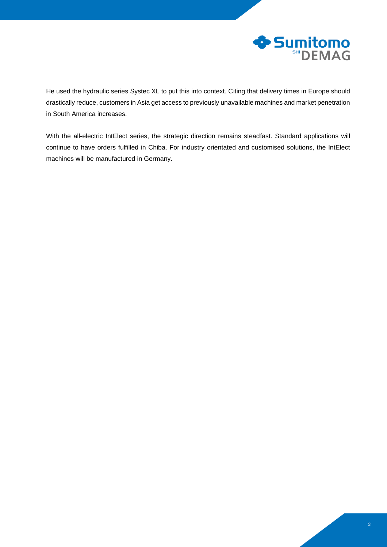

He used the hydraulic series Systec XL to put this into context. Citing that delivery times in Europe should drastically reduce, customers in Asia get access to previously unavailable machines and market penetration in South America increases.

With the all-electric IntElect series, the strategic direction remains steadfast. Standard applications will continue to have orders fulfilled in Chiba. For industry orientated and customised solutions, the IntElect machines will be manufactured in Germany.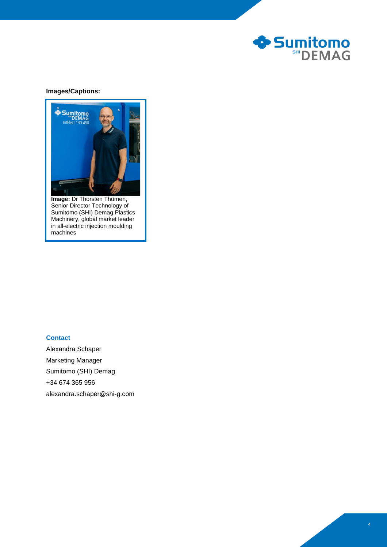

## **Images/Captions:**



**Image:** Dr Thorsten Thümen, Senior Director Technology of Sumitomo (SHI) Demag Plastics Machinery, global market leader in all-electric injection moulding machines

# **Contact**

Alexandra Schaper Marketing Manager Sumitomo (SHI) Demag +34 674 365 956 alexandra.schaper@shi-g.com